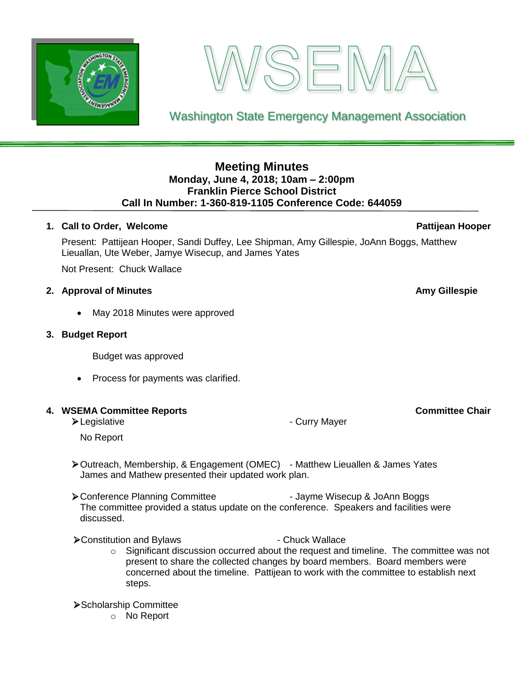



Washington State Emergency Management Association

# **Meeting Minutes Monday, June 4, 2018; 10am – 2:00pm Franklin Pierce School District Call In Number: 1-360-819-1105 Conference Code: 644059**

# **1. Call to Order, Welcome** *Pattijean* **Hooper** Pattijean Hooper

Present: Pattijean Hooper, Sandi Duffey, Lee Shipman, Amy Gillespie, JoAnn Boggs, Matthew Lieuallan, Ute Weber, Jamye Wisecup, and James Yates

Not Present: Chuck Wallace

# **2. Approval of Minutes Amy Gillespie**

May 2018 Minutes were approved

### **3. Budget Report**

Budget was approved

• Process for payments was clarified.

# **4. WSEMA Committee Reports Committee Chair**

➢Legislative - Curry Mayer

# No Report

- ➢Outreach, Membership, & Engagement (OMEC) Matthew Lieuallen & James Yates James and Mathew presented their updated work plan.
- ▶ Conference Planning Committee Jayme Wisecup & JoAnn Boggs The committee provided a status update on the conference. Speakers and facilities were discussed.

▶ Constitution and Bylaws - Chuck Wallace

 $\circ$  Significant discussion occurred about the request and timeline. The committee was not present to share the collected changes by board members. Board members were concerned about the timeline. Pattijean to work with the committee to establish next steps.

# ➢Scholarship Committee

o No Report